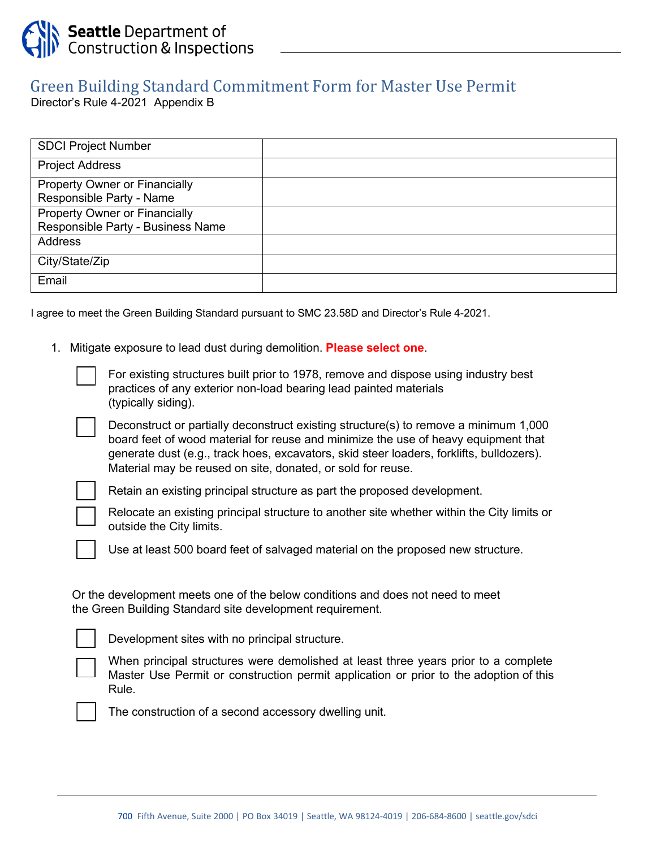

## Green Building Standard Commitment Form for Master Use Permit

Director's Rule 4-2021 Appendix B

| <b>SDCI Project Number</b>           |  |
|--------------------------------------|--|
| <b>Project Address</b>               |  |
| <b>Property Owner or Financially</b> |  |
| Responsible Party - Name             |  |
| <b>Property Owner or Financially</b> |  |
| Responsible Party - Business Name    |  |
| <b>Address</b>                       |  |
| City/State/Zip                       |  |
| Email                                |  |

I agree to meet the Green Building Standard pursuant to SMC 23.58D and Director's Rule 4-2021.

1. Mitigate exposure to lead dust during demolition. **Please select one**.

• For existing structures built prior to 1978, remove and dispose using industry best practices of any exterior non-load bearing lead painted materials (typically siding).

• Deconstruct or partially deconstruct existing structure(s) to remove a minimum 1,000 board feet of wood material for reuse and minimize the use of heavy equipment that generate dust (e.g., track hoes, excavators, skid steer loaders, forklifts, bulldozers). Material may be reused on site, donated, or sold for reuse.



Retain an existing principal structure as part the proposed development.

Relocate an existing principal structure to another site whether within the City limits or outside the City limits.

Use at least 500 board feet of salvaged material on the proposed new structure.

Or the development meets one of the below conditions and does not need to meet the Green Building Standard site development requirement.



• Development sites with no principal structure.

• When principal structures were demolished at least three years prior to a complete Master Use Permit or construction permit application or prior to the adoption of this Rule.

The construction of a second accessory dwelling unit.